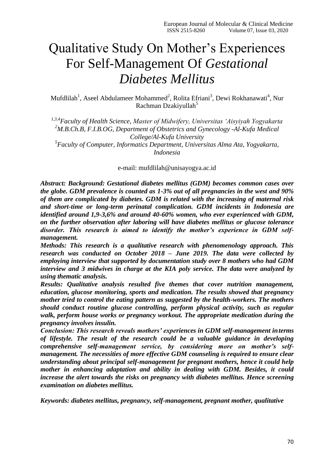# Qualitative Study On Mother's Experiences For Self-Management Of *Gestational Diabetes Mellitus*

Mufdlilah<sup>1</sup>, Aseel Abdulameer Mohammed<sup>2</sup>, Rolita Efriani<sup>3</sup>, Dewi Rokhanawati<sup>4</sup>, Nur Rachman Dzakiyullah<sup>5</sup>

*1,3,4Faculty of Health Science, Master of Midwifery, Universitas 'Aisyiyah Yogyakarta <sup>2</sup>M.B.Ch.B, F.I.B.OG, Department of Obstetrics and Gynecology -Al-Kufa Medical College/Al-Kufa University*

*5 Faculty of Computer, Informatics Department, Universitas Alma Ata, Yogyakarta, Indonesia*

e-mail: mufdlilah@unisayogya.ac.id

*Abstract: Background: Gestational diabetes mellitus (GDM) becomes common cases over the globe. GDM prevalence is counted as 1-3% out of all pregnancies in the west and 90% of them are complicated by diabetes. GDM is related with the increasing of maternal risk and short-time or long-term perinatal complication. GDM incidents in Indonesia are identified around 1,9-3,6% and around 40-60% women, who ever experienced with GDM, on the further observation after laboring will have diabetes mellitus or glucose tolerance disorder. This research is aimed to identify the mother's experience in GDM selfmanagement.*

*Methods: This research is a qualitative research with phenomenology approach. This research was conducted on October 2018 – June 2019. The data were collected by employing interview that supported by documentation study over 8 mothers who had GDM interview and 3 midwives in charge at the KIA poly service. The data were analyzed by using thematic analysis.*

*Results: Qualitative analysis resulted five themes that cover nutrition management, education, glucose monitoring, sports and medication. The results showed that pregnancy mother tried to control the eating pattern as suggested by the health-workers. The mothers should conduct routine glucose controlling, perform physical activity, such as regular walk, perform house works or pregnancy workout. The appropriate medication during the pregnancy involves insulin.*

*Conclusion: This research reveals mothers' experiences in GDM self-management interms of lifestyle. The result of the research could be a valuable guidance in developing comprehensive self-management service, by considering more on mother's selfmanagement. The necessities of more effective GDM counseling is required to ensure clear understanding about principal self-management for pregnant mothers, hence it could help mother in enhancing adaptation and ability in dealing with GDM. Besides, it could increase the alert towards the risks on pregnancy with diabetes mellitus. Hence screening examination on diabetes mellitus.*

*Keywords: diabetes mellitus, pregnancy, self-management, pregnant mother, qualitative*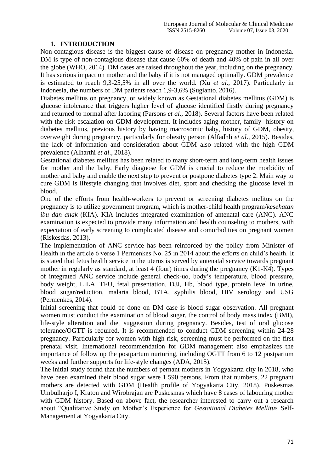# **1. INTRODUCTION**

Non-contagious disease is the biggest cause of disease on pregnancy mother in Indonesia. DM is type of non-contagious disease that cause 60% of death and 40% of pain in all over the globe (WHO, 2014). DM cases are raised throughout the year, including on the pregnancy. It has serious impact on mother and the baby if it is not managed optimally. GDM prevalence is estimated to reach 9,3-25,5% in all over the world. (Xu *et al*., 2017). Particularly in Indonesia, the numbers of DM patients reach 1,9-3,6% (Sugianto, 2016).

Diabetes mellitus on pregnancy, or widely known as Gestational diabetes mellitus (GDM) is glucose intolerance that triggers higher level of glucose identified firstly during pregnancy and returned to normal after laboring (Parsons *et al*., 2018). Several factors have been related with the risk escalation on GDM development. It includes aging mother, family history on diabetes mellitus, previous history by having macrosomic baby, history of GDM, obesity, overweight during pregnancy, particularly for obesity person (Alfadhli *et al*., 2015). Besides, the lack of information and consideration about GDM also related with the high GDM prevalence (Alharthi *et al*., 2018).

Gestational diabetes mellitus has been related to many short-term and long-term health issues for mother and the baby. Early diagnose for GDM is crucial to reduce the morbidity of mother and baby and enable the next step to prevent or postpone diabetes type 2. Main way to cure GDM is lifestyle changing that involves diet, sport and checking the glucose level in blood.

One of the efforts from health-workers to prevent or screening diabetes melitus on the pregnancy is to utilize government program, which is mother-child health program/*kesehatan ibu dan anak* (KIA). KIA includes integrated examination of antenatal care (ANC). ANC examination is expected to provide many information and health counseling to mothers, with expectation of early screening to complicated disease and comorbidities on pregnant women (Riskesdas, 2013).

The implementation of ANC service has been reinforced by the policy from Minister of Health in the article 6 verse 1 Permenkes No. 25 in 2014 about the efforts on child's health. It is stated that fetus health service in the uterus is served by antenatal service towards pregnant mother in regularly as standard, at least 4 (four) times during the pregnancy (K1-K4). Types of integrated ANC service include general check-uo, body's temperature, blood pressure, body weight, LILA, TFU, fetal presentation, DJJ, Hb, blood type, protein level in urine, blood sugar/reduction, malaria blood, BTA, syphilis blood, HIV serology and USG (Permenkes, 2014).

Initial screening that could be done on DM case is blood sugar observation. All pregnant women must conduct the examination of blood sugar, the control of body mass index (BMI), life-style alteration and diet suggestion during pregnancy. Besides, test of oral glucose tolerance/OGTT is required. It is recommended to conduct GDM screening within 24-28 pregnancy. Particularly for women with high risk, screening must be performed on the first prenatal visit. International recommendation for GDM management also emphasizes the importance of follow up the postpartum nurturing, including OGTT from 6 to 12 postpartum weeks and further supports for life-style changes (ADA, 2015).

The initial study found that the numbers of pernant mothers in Yogyakarta city in 2018, who have been examined their blood sugar were 1.590 persons. From that numbers, 22 pregnant mothers are detected with GDM (Health profile of Yogyakarta City, 2018). Puskesmas Umbulharjo I, Kraton and Wirobrajan are Puskesmas which have 8 cases of labouring mother with GDM history. Based on above fact, the researcher interested to carry out a research about "Qualitative Study on Mother's Experience for *Gestational Diabetes Mellitus* Self-Management at Yogyakarta City.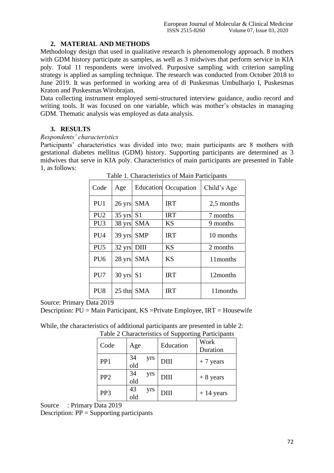# **2. MATERIAL AND METHODS**

Methodology design that used in qualitative research is phenomenology approach. 8 mothers with GDM history participate as samples, as well as 3 midwives that perform service in KIA poly. Total 11 respondents were involved. Purposive sampling with criterion sampling strategy is applied as sampling technique*.* The research was conducted from October 2018 to June 2019. It was performed in working area of di Puskesmas Umbulharjo I, Puskesmas Kraton and Puskesmas Wirobrajan.

Data collecting instrument employed semi-structured interview guidance, audio record and writing tools. It was focused on one variable, which was mother's obstacles in managing GDM. Thematic analysis was employed as data analysis.

# **3. RESULTS**

### *Respondents' characteristics*

Participants' characteristics was divided into two; main participants are 8 mothers with gestational diabetes mellitus (GDM) history. Supporting participants are determined as 3 midwives that serve in KIA poly. Characteristics of main participants are presented in Table 1, as follows:

| Code            | Age                 |            | Education Occupation | Child's Age |
|-----------------|---------------------|------------|----------------------|-------------|
| PU1             |                     | 26 yrs SMA | <b>IRT</b>           | 2,5 months  |
| PU <sub>2</sub> | $35 \text{ yrs}$ S1 |            | <b>IRT</b>           | 7 months    |
| PU <sub>3</sub> |                     | 38 yrs SMA | <b>KS</b>            | 9 months    |
| PU4             | 39 yrs              | <b>SMP</b> | <b>IRT</b>           | 10 months   |
| PU <sub>5</sub> | 32 yrs DIII         |            | <b>KS</b>            | 2 months    |
| PU <sub>6</sub> | 28 yrs              | <b>SMA</b> | <b>KS</b>            | 11 months   |
| PU7             | $30 \text{ yrs}$ S1 |            | <b>IRT</b>           | 12months    |
| PU <sub>8</sub> |                     | 25 thn SMA | <b>IRT</b>           | 11 months   |

Table 1. Characteristics of Main Participants

Source: Primary Data 2019

Description: PU = Main Participant, KS =Private Employee, IRT = Housewife

|  | While, the characteristics of additional participants are presented in table 2: |
|--|---------------------------------------------------------------------------------|
|  | Table 2 Characteristics of Supporting Participants                              |

| Code            | Age       |     | Education | Work<br>Duration |
|-----------------|-----------|-----|-----------|------------------|
| PP <sub>1</sub> | 34<br>old | yrs | DIII      | $+7$ years       |
| PP <sub>2</sub> | 34<br>old | yrs | DIII      | $+8$ years       |
| PP3             | 43<br>old | yrs | DIII      | $+14$ years      |

Source : Primary Data 2019

Description: PP = Supporting participants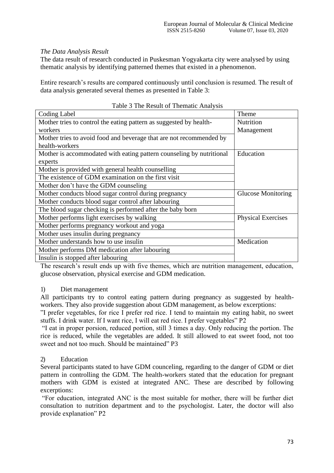# *The Data Analysis Result*

The data result of research conducted in Puskesman Yogyakarta city were analysed by using thematic analysis by identifying patterned themes that existed in a phenomenon.

Entire research's results are compared continuously until conclusion is resumed. The result of data analysis generated several themes as presented in Table 3:

| Coding Label                                                         | Theme                     |
|----------------------------------------------------------------------|---------------------------|
| Mother tries to control the eating pattern as suggested by health-   | Nutrition                 |
|                                                                      |                           |
| workers                                                              | Management                |
| Mother tries to avoid food and beverage that are not recommended by  |                           |
| health-workers                                                       |                           |
| Mother is accommodated with eating pattern counseling by nutritional | Education                 |
| experts                                                              |                           |
| Mother is provided with general health counselling                   |                           |
| The existence of GDM examination on the first visit                  |                           |
| Mother don't have the GDM counseling                                 |                           |
| Mother conducts blood sugar control during pregnancy                 | <b>Glucose Monitoring</b> |
| Mother conducts blood sugar control after labouring                  |                           |
| The blood sugar checking is performed after the baby born            |                           |
| Mother performs light exercises by walking                           | <b>Physical Exercises</b> |
| Mother performs pregnancy workout and yoga                           |                           |
| Mother uses insulin during pregnancy                                 |                           |
| Mother understands how to use insulin                                | Medication                |
| Mother performs DM medication after labouring                        |                           |
| Insulin is stopped after labouring                                   |                           |

## Table 3 The Result of Thematic Analysis

The research's result ends up with five themes, which are nutrition management, education, glucose observation, physical exercise and GDM medication.

### 1) Diet management

All participants try to control eating pattern during pregnancy as suggested by healthworkers. They also provide suggestion about GDM management, as below excerptions:

"I prefer vegetables, for rice I prefer red rice. I tend to maintain my eating habit, no sweet stuffs. I drink water. If I want rice, I will eat red rice. I prefer vegetables" P2

"I eat in proper porsion, reduced portion, still 3 times a day. Only reducing the portion. The rice is reduced, while the vegetables are added. It still allowed to eat sweet food, not too sweet and not too much. Should be maintained" P3

# 2) Education

Several participants stated to have GDM counceling, regarding to the danger of GDM or diet pattern in controlling the GDM. The health-workers stated that the education for pregnant mothers with GDM is existed at integrated ANC. These are described by following excerptions:

"For education, integrated ANC is the most suitable for mother, there will be further diet consultation to nutrition department and to the psychologist. Later, the doctor will also provide explanation" P2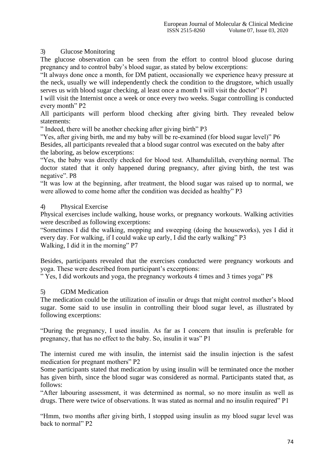# 3) Glucose Monitoring

The glucose observation can be seen from the effort to control blood glucose during pregnancy and to control baby's blood sugar, as stated by below excerptions:

"It always done once a month, for DM patient, occasionally we experience heavy pressure at the neck, usually we will independently check the condition to the drugstore, which usually serves us with blood sugar checking, al least once a month I will visit the doctor" P1

I will visit the Internist once a week or once every two weeks. Sugar controlling is conducted every month" P2

All participants will perform blood checking after giving birth. They revealed below statements:

" Indeed, there will be another checking after giving birth" P3

"Yes, after giving birth, me and my baby will be re-examined (for blood sugar level)" P6

Besides, all participants revealed that a blood sugar control was executed on the baby after the laboring, as below excerptions:

"Yes, the baby was directly checked for blood test. Alhamdulillah, everything normal. The doctor stated that it only happened during pregnancy, after giving birth, the test was negative". P8

"It was low at the beginning, after treatment, the blood sugar was raised up to normal, we were allowed to come home after the condition was decided as healthy" P3

# 4) Physical Exercise

Physical exercises include walking, house works, or pregnancy workouts. Walking activities were described as following excerptions:

"Sometimes I did the walking, mopping and sweeping (doing the houseworks), yes I did it every day. For walking, if I could wake up early, I did the early walking" P3 Walking, I did it in the morning" P7

Besides, participants revealed that the exercises conducted were pregnancy workouts and yoga. These were described from participant's excerptions:

" Yes, I did workouts and yoga, the pregnancy workouts 4 times and 3 times yoga" P8

### 5) GDM Medication

The medication could be the utilization of insulin or drugs that might control mother's blood sugar. Some said to use insulin in controlling their blood sugar level, as illustrated by following excerptions:

"During the pregnancy, I used insulin. As far as I concern that insulin is preferable for pregnancy, that has no effect to the baby. So, insulin it was" P1

The internist cured me with insulin, the internist said the insulin injection is the safest medication for pregnant mothers" P2

Some participants stated that medication by using insulin will be terminated once the mother has given birth, since the blood sugar was considered as normal. Participants stated that, as follows:

"After labouring assessment, it was determined as normal, so no more insulin as well as drugs. There were twice of observations. It was stated as normal and no insulin required" P1

"Hmm, two months after giving birth, I stopped using insulin as my blood sugar level was back to normal" P2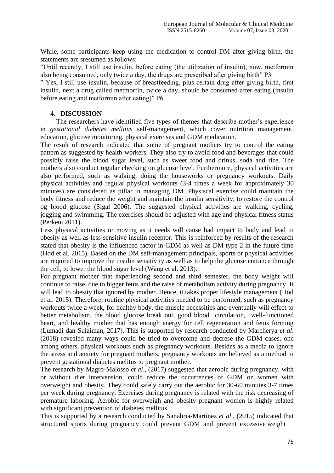While, some participants keep using the medication to control DM after giving birth, the statements are sresumed as follows:

"Until recently, I still use insulin, before eating (the utilization of insulin), now, metformin also being consumed, only twice a day, the drugs are prescribed after giving birth" P3

" Yes, I still use insulin, because of breastfeeding, plus certain drug after giving birth, first insulin, next a drug called metmorfin, twice a day, should be consumed after eating (insulin before eating and metformin after eating)" P6

### **4. DISCUSSION**

The researchers have identified five types of themes that describe mother's experience in *gestational diebetes mellitus* self-management, which cover nutrition management, education, glucose monitoring, physical exercises and GDM medication.

The result of research indicated that some of pregnant mothers try to control the eating pattern as suggested by health-workers. They also try to avoid food and beverages that could possibly raise the blood sugar level, such as sweet food and drinks, soda and rice. The mothers also conduct regular checking on glucose level. Furthermore, physical activities are also performed, such as walking, doing the houseworks or pregnancy workouts. Daily physical activities and regular physical workouts (3-4 times a week for approximately 30 minutes) are considered as pillar in managing DM. Physiscal exercise could maintain the body fitness and reduce the weight and maintain the insulin sensitivity, to restore the control og blood glucose (Sigal 2006). The suggested physical activities are walking, cycling, jogging and swimming. The exercises should be adjusted with age and physical fitness status (Perkeni 2011).

Less physical activities or moving as it needs will cause bad impact to body and lead to obesity as well as less-sensitive insulin receptor. This is reinforced by results of the research stated that obesity is the influenced factor in GDM as well as DM type 2 in the future time (Hod et al. 2015). Based on the DM self-management principals, sports or physical activities are required to improve the insulin sensitivity as well as to help the glucose entrance through the cell, to lower the blood sugar level (Wang et al. 2013).

For pregnant mother that experiencing second and third semester, the body weight will continue to raise, due to bigger fetus and the raise of metabolism activity during pregnancy. It will lead to obesity that ignored by mother. Hence, it takes proper lifestyle management (Hod et al. 2015). Therefore, routine physical activities needed to be performed, such as pregnancy workouts twice a week, for healthy body, the muscle necessities and eventually will effect to better metabolism, the blood glucose break out, good blood circulation, well-functioned heart, and healthy mother that has enough energy for cell regeneration and fetus forming (Lumadi dan Sulaiman, 2017). This is supported by research conducted by Marcherya *et al*. (2018) revealed many ways could be tried to overcome and decrese the GDM cases, one among others, physical workouts such as pregnancy workouts. Besides as a media to ignore the stress and anxiety for pregnant mothers, pregnancy workouts are believed as a method to prevent gestational diabetes melitus to pregnant mother.

The research by Magro-Malosso *et al*., (2017) suggested that aerobic during pregnancy, with or without diet intervension, could reduce the occurrences of GDM on women with overweight and obesity. They could safely carry out the aerobic for 30-60 minutes 3-7 times per week during pregnancy. Exercises during pregnancy is related with the risk decreasing of premature laboring. Aerobic for overweigh and obesity pregnant women is highly related with significant prevention of diabetes mellitus.

This is supported by a research conducted by Sanabria-Martínez *et al*., (2015) indicated that structured sports during pregnancy could prevent GDM and prevent excessive weight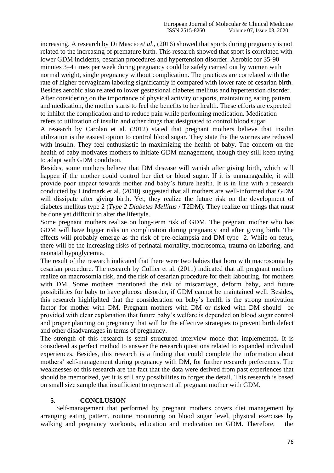increasing. A research by Di Mascio *et al*., (2016) showed that sports during pregnancy is not related to the increasing of premature birth. This research showed that sport is correlated with lower GDM incidents, cesarian procedures and hypertension disorder. Aerobic for 35-90 minutes 3–4 times per week during pregnancy could be safely carried out by women with normal weight, single pregnancy without complication. The practices are correlated with the rate of higher pervaginam laboring significantly if compared with lower rate of cesarian birth. Besides aerobic also related to lower gestasional diabetes mellitus and hypertension disorder. After considering on the importance of physical activity or sports, maintaining eating pattern and medication, the mother starts to feel the benefits to her health. These efforts are expected to inhibit the complication and to reduce pain while performing medication. Medication refers to utilization of insulin and other drugs that designated to control blood sugar.

A research by Carolan et al. (2012) stated that pregnant mothers believe that insulin utilization is the easiest option to control blood sugar. They state the the worries are reduced with insulin. They feel enthusiastic in maximizing the health of baby. The concern on the health of baby motivates mothers to initiate GDM management, though they still keep trying to adapt with GDM condition.

Besides, some mothers believe that DM desease will vanish after giving birth, which will happen if the mother could control her diet or blood sugar. If it is unmanageable, it will provide poor impact towards mother and baby's future health. It is in line with a research conducted by Lindmark et al. (2010) suggested that all mothers are well-informed that GDM will dissipate after giving birth. Yet, they realize the future risk on the development of diabetes mellitus type 2 (*Type 2 Diabetes Mellitus* / T2DM). They realize on things that must be done yet difficult to alter the lifestyle.

Some pregnant mothers realize on long-term risk of GDM. The pregnant mother who has GDM will have bigger risks on complication during pregnancy and after giving birth. The effects will probably emerge as the risk of pre-eclampsia and DM type 2. While on fetus, there will be the increasing risks of perinatal mortality, macrosomia, trauma on laboring, and neonatal hypoglycemia.

The result of the research indicated that there were two babies that born with macrosomia by cesarian procedure. The research by Collier et al. (2011) indicated that all pregnant mothers realize on macrosomia risk, and the risk of cesarian procedure for their labouring, for mothers with DM. Some mothers mentioned the risk of miscarriage, deform baby, and future possibilities for baby to have glucose disorder, if GDM cannot be maintained well. Besides, this research highlighted that the consideration on baby's health is the strong motivation factor for mother with DM. Pregnant mothers with DM or risked with DM should be provided with clear explanation that future baby's welfare is depended on blood sugar control and proper planning on pregnancy that will be the effective strategies to prevent birth defect and other disadvantages in terms of pregnancy.

The strength of this research is semi structured interview mode that implemented. It is considered as perfect method to answer the research questions related to expanded individual experiences. Besides, this research is a finding that could complete the information about mothers' self-management during pregnancy with DM, for further research preferences. The weaknesses of this research are the fact that the data were derived from past experiences that should be memorized, yet it is still any possibilities to forget the detail. This research is based on small size sample that insufficient to represent all pregnant mother with GDM.

# **5. CONCLUSION**

Self-management that performed by pregnant mothers covers diet management by arranging eating pattern, routine monitoring on blood sugar level, physical exercises by walking and pregnancy workouts, education and medication on GDM. Therefore, the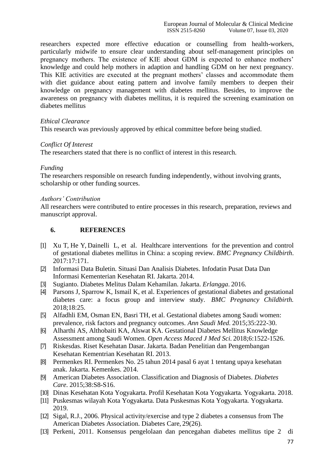researchers expected more effective education or counselling from health-workers, particularly midwife to ensure clear understanding about self-management principles on pregnancy mothers. The existence of KIE about GDM is expected to enhance mothers' knowledge and could help mothers in adaption and handling GDM on her next pregnancy. This KIE activities are executed at the pregnant mothers' classes and accommodate them with diet guidance about eating pattern and involve family members to deepen their knowledge on pregnancy management with diabetes mellitus. Besides, to improve the awareness on pregnancy with diabetes mellitus, it is required the screening examination on diabetes mellitus

#### *Ethical Clearance*

This research was previously approved by ethical committee before being studied.

#### *Conflict Of Interest*

The researchers stated that there is no conflict of interest in this research.

#### *Funding*

The researchers responsible on research funding independently, without involving grants, scholarship or other funding sources.

#### *Authors' Contribution*

All researchers were contributed to entire processes in this research, preparation, reviews and manuscript approval.

## **6. REFERENCES**

- [1] [Xu T,](https://www.ncbi.nlm.nih.gov/pubmed/?term=Xu%20T%5BAuthor%5D&cauthor=true&cauthor_uid=28583101) [He Y,](https://www.ncbi.nlm.nih.gov/pubmed/?term=He%20Y%5BAuthor%5D&cauthor=true&cauthor_uid=28583101) [Dainelli L,](https://www.ncbi.nlm.nih.gov/pubmed/?term=Dainelli%20L%5BAuthor%5D&cauthor=true&cauthor_uid=28583101) et al. Healthcare interventions for the prevention and control of gestational diabetes mellitus in China: a scoping review. *[BMC Pregnancy Childbirth](https://www.ncbi.nlm.nih.gov/pubmed/28583101)*. 2017:17:171.
- [2] Informasi Data Buletin. Situasi Dan Analisis Diabetes. Infodatin Pusat Data Dan Informasi Kementerian Kesehatan RI. Jakarta. 2014.
- [3] Sugianto. Diabetes Melitus Dalam Kehamilan. Jakarta. *Erlangga*. 2016.
- [4] Parsons J, Sparrow K, Ismail K, et al. Experiences of gestational diabetes and gestational diabetes care: a focus group and interview study. *BMC Pregnancy Childbirth.*  2018;18:25.
- [5] Alfadhli EM, Osman EN, Basri TH, et al. Gestational diabetes among Saudi women: prevalence, risk factors and pregnancy outcomes. *Ann Saudi Med.* 2015;35:222-30.
- [6] Alharthi AS, Althobaiti KA, Alswat KA. Gestational Diabetes Mellitus Knowledge Assessment among Saudi Women. *Open Access Maced J Med Sci.* 2018;6:1522-1526.
- [7] Riskesdas. Riset Kesehatan Dasar. Jakarta. Badan Penelitian dan Pengembangan Kesehatan Kementrian Kesehatan RI. 2013.
- [8] Permenkes RI. Permenkes No. 25 tahun 2014 pasal 6 ayat 1 tentang upaya kesehatan anak. Jakarta. Kemenkes. 2014.
- [9] American Diabetes Association. Classification and Diagnosis of Diabetes. *Diabetes Care*. 2015;38:S8-S16.
- [10] Dinas Kesehatan Kota Yogyakarta. Profil Kesehatan Kota Yogyakarta*.* Yogyakarta. 2018.
- [11] Puskesmas wilayah Kota Yogyakarta. Data Puskesmas Kota Yogyakarta*.* Yogyakarta. 2019.
- [12] Sigal, R.J., 2006. Physical activity/exercise and type 2 diabetes a consensus from The American Diabetes Association. Diabetes Care, 29(26).
- [13] Perkeni, 2011. Konsensus pengelolaan dan pencegahan diabetes mellitus tipe 2 di